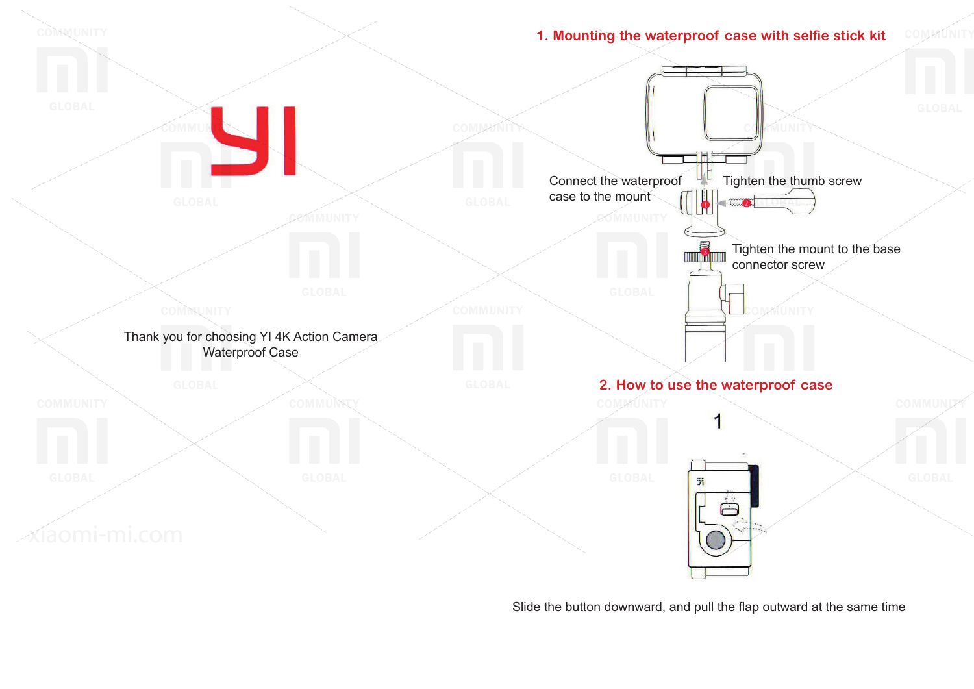

Slide the button downward, and pull the flap outward at the same time